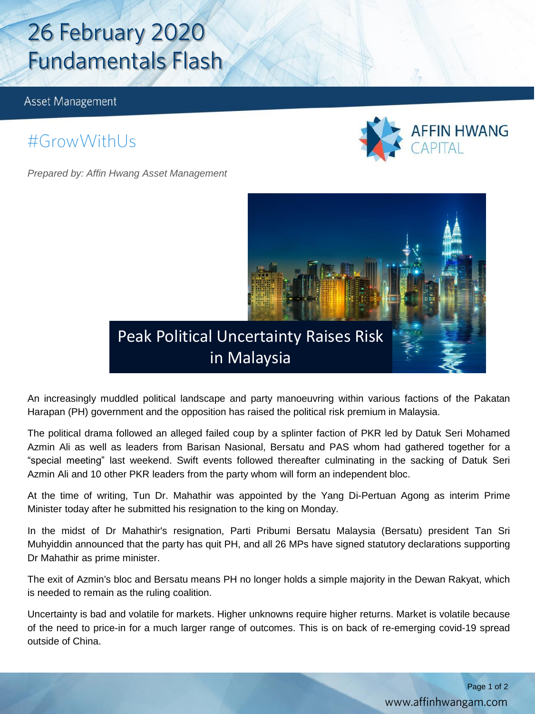# 26 February 2020 **Fundamentals Flash**

Asset Management

### #GrowWithUs

*Prepared by: Affin Hwang Asset Management*





An increasingly muddled political landscape and party manoeuvring within various factions of the Pakatan Harapan (PH) government and the opposition has raised the political risk premium in Malaysia.

The political drama followed an alleged failed coup by a splinter faction of PKR led by Datuk Seri Mohamed Azmin Ali as well as leaders from Barisan Nasional, Bersatu and PAS whom had gathered together for a "special meeting" last weekend. Swift events followed thereafter culminating in the sacking of Datuk Seri Azmin Ali and 10 other PKR leaders from the party whom will form an independent bloc.

At the time of writing, Tun Dr. Mahathir was appointed by the Yang Di-Pertuan Agong as interim Prime Minister today after he submitted his resignation to the king on Monday.

In the midst of Dr Mahathir's resignation, Parti Pribumi Bersatu Malaysia (Bersatu) president Tan Sri Muhyiddin announced that the party has quit PH, and all 26 MPs have signed statutory declarations supporting Dr Mahathir as prime minister.

The exit of Azmin's bloc and Bersatu means PH no longer holds a simple majority in the Dewan Rakyat, which is needed to remain as the ruling coalition.

Uncertainty is bad and volatile for markets. Higher unknowns require higher returns. Market is volatile because of the need to price-in for a much larger range of outcomes. This is on back of re-emerging covid-19 spread outside of China.